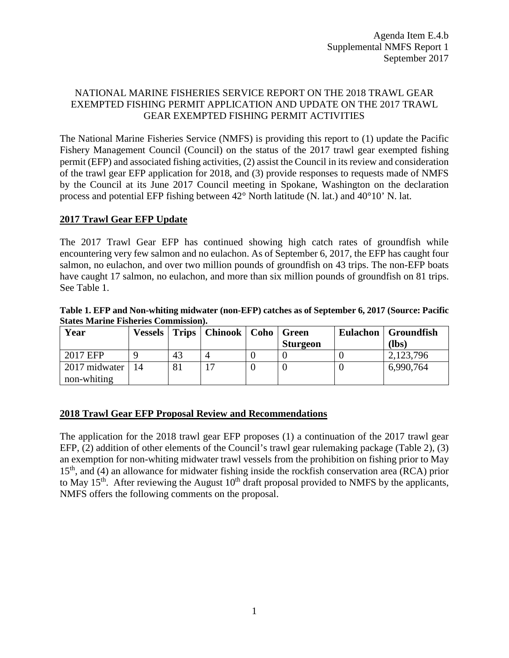# NATIONAL MARINE FISHERIES SERVICE REPORT ON THE 2018 TRAWL GEAR EXEMPTED FISHING PERMIT APPLICATION AND UPDATE ON THE 2017 TRAWL GEAR EXEMPTED FISHING PERMIT ACTIVITIES

The National Marine Fisheries Service (NMFS) is providing this report to (1) update the Pacific Fishery Management Council (Council) on the status of the 2017 trawl gear exempted fishing permit (EFP) and associated fishing activities, (2) assist the Council in its review and consideration of the trawl gear EFP application for 2018, and (3) provide responses to requests made of NMFS by the Council at its June 2017 Council meeting in Spokane, Washington on the declaration process and potential EFP fishing between 42° North latitude (N. lat.) and 40°10' N. lat.

### **2017 Trawl Gear EFP Update**

The 2017 Trawl Gear EFP has continued showing high catch rates of groundfish while encountering very few salmon and no eulachon. As of September 6, 2017, the EFP has caught four salmon, no eulachon, and over two million pounds of groundfish on 43 trips. The non-EFP boats have caught 17 salmon, no eulachon, and more than six million pounds of groundfish on 81 trips. See Table 1.

| Table 1. EFP and Non-whiting midwater (non-EFP) catches as of September 6, 2017 (Source: Pacific |  |
|--------------------------------------------------------------------------------------------------|--|
| <b>States Marine Fisheries Commission).</b>                                                      |  |

| Year          |    |    | <b>Vessels</b>   Trips   Chinook   Coho | Green           | Eulachon   Groundfish |
|---------------|----|----|-----------------------------------------|-----------------|-----------------------|
|               |    |    |                                         | <b>Sturgeon</b> | $(lbs)$               |
| 2017 EFP      |    | 43 | 4                                       |                 | 2,123,796             |
| 2017 midwater | 14 | 81 |                                         |                 | 6,990,764             |
| non-whiting   |    |    |                                         |                 |                       |

# **2018 Trawl Gear EFP Proposal Review and Recommendations**

The application for the 2018 trawl gear EFP proposes (1) a continuation of the 2017 trawl gear EFP, (2) addition of other elements of the Council's trawl gear rulemaking package (Table 2), (3) an exemption for non-whiting midwater trawl vessels from the prohibition on fishing prior to May 15th, and (4) an allowance for midwater fishing inside the rockfish conservation area (RCA) prior to May 15<sup>th</sup>. After reviewing the August 10<sup>th</sup> draft proposal provided to NMFS by the applicants, NMFS offers the following comments on the proposal.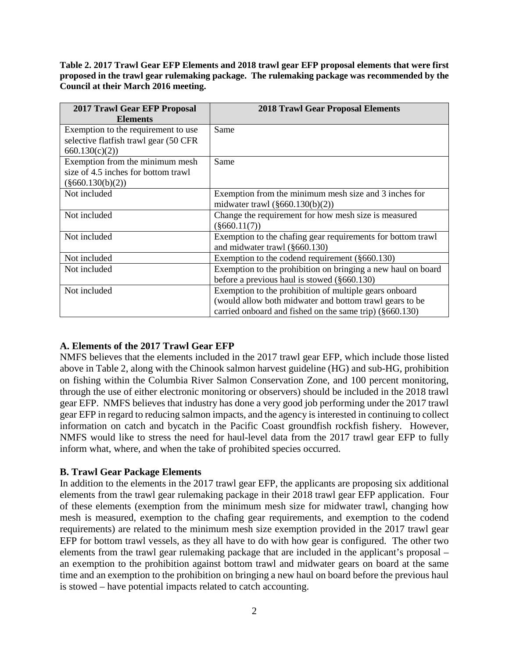**Table 2. 2017 Trawl Gear EFP Elements and 2018 trawl gear EFP proposal elements that were first proposed in the trawl gear rulemaking package. The rulemaking package was recommended by the Council at their March 2016 meeting.**

| <b>2017 Trawl Gear EFP Proposal</b><br><b>Elements</b> | <b>2018 Trawl Gear Proposal Elements</b>                     |
|--------------------------------------------------------|--------------------------------------------------------------|
| Exemption to the requirement to use                    | Same                                                         |
| selective flatfish trawl gear (50 CFR                  |                                                              |
| 660.130(c)(2)                                          |                                                              |
| Exemption from the minimum mesh                        | Same                                                         |
| size of 4.5 inches for bottom trawl                    |                                                              |
| $(\$660.130(b)(2))$                                    |                                                              |
| Not included                                           | Exemption from the minimum mesh size and 3 inches for        |
|                                                        | midwater trawl $(\S 660.130(b)(2))$                          |
| Not included                                           | Change the requirement for how mesh size is measured         |
|                                                        | $(\$660.11(7))$                                              |
| Not included                                           | Exemption to the chafing gear requirements for bottom trawl  |
|                                                        | and midwater trawl (§660.130)                                |
| Not included                                           | Exemption to the codend requirement $(\S 660.130)$           |
| Not included                                           | Exemption to the prohibition on bringing a new haul on board |
|                                                        | before a previous haul is stowed $(\S 660.130)$              |
| Not included                                           | Exemption to the prohibition of multiple gears onboard       |
|                                                        | (would allow both midwater and bottom trawl gears to be      |
|                                                        | carried onboard and fished on the same trip) (§660.130)      |

# **A. Elements of the 2017 Trawl Gear EFP**

NMFS believes that the elements included in the 2017 trawl gear EFP, which include those listed above in Table 2, along with the Chinook salmon harvest guideline (HG) and sub-HG, prohibition on fishing within the Columbia River Salmon Conservation Zone, and 100 percent monitoring, through the use of either electronic monitoring or observers) should be included in the 2018 trawl gear EFP. NMFS believes that industry has done a very good job performing under the 2017 trawl gear EFP in regard to reducing salmon impacts, and the agency is interested in continuing to collect information on catch and bycatch in the Pacific Coast groundfish rockfish fishery. However, NMFS would like to stress the need for haul-level data from the 2017 trawl gear EFP to fully inform what, where, and when the take of prohibited species occurred.

# **B. Trawl Gear Package Elements**

In addition to the elements in the 2017 trawl gear EFP, the applicants are proposing six additional elements from the trawl gear rulemaking package in their 2018 trawl gear EFP application. Four of these elements (exemption from the minimum mesh size for midwater trawl, changing how mesh is measured, exemption to the chafing gear requirements, and exemption to the codend requirements) are related to the minimum mesh size exemption provided in the 2017 trawl gear EFP for bottom trawl vessels, as they all have to do with how gear is configured. The other two elements from the trawl gear rulemaking package that are included in the applicant's proposal – an exemption to the prohibition against bottom trawl and midwater gears on board at the same time and an exemption to the prohibition on bringing a new haul on board before the previous haul is stowed – have potential impacts related to catch accounting.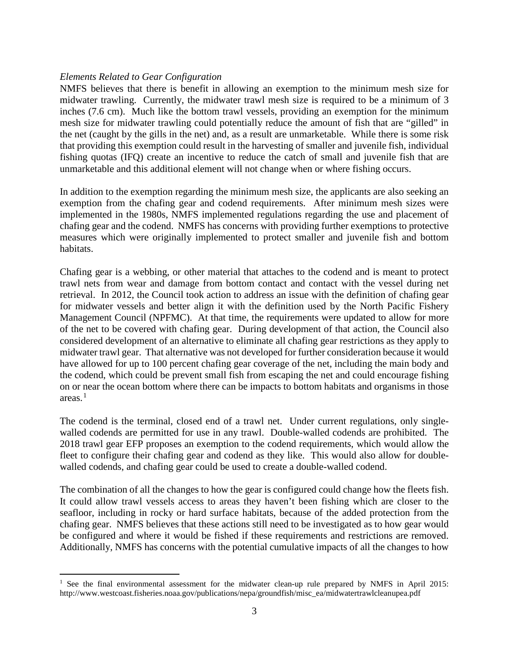### *Elements Related to Gear Configuration*

NMFS believes that there is benefit in allowing an exemption to the minimum mesh size for midwater trawling. Currently, the midwater trawl mesh size is required to be a minimum of 3 inches (7.6 cm). Much like the bottom trawl vessels, providing an exemption for the minimum mesh size for midwater trawling could potentially reduce the amount of fish that are "gilled" in the net (caught by the gills in the net) and, as a result are unmarketable. While there is some risk that providing this exemption could result in the harvesting of smaller and juvenile fish, individual fishing quotas (IFQ) create an incentive to reduce the catch of small and juvenile fish that are unmarketable and this additional element will not change when or where fishing occurs.

In addition to the exemption regarding the minimum mesh size, the applicants are also seeking an exemption from the chafing gear and codend requirements. After minimum mesh sizes were implemented in the 1980s, NMFS implemented regulations regarding the use and placement of chafing gear and the codend. NMFS has concerns with providing further exemptions to protective measures which were originally implemented to protect smaller and juvenile fish and bottom habitats.

Chafing gear is a webbing, or other material that attaches to the codend and is meant to protect trawl nets from wear and damage from bottom contact and contact with the vessel during net retrieval. In 2012, the Council took action to address an issue with the definition of chafing gear for midwater vessels and better align it with the definition used by the North Pacific Fishery Management Council (NPFMC). At that time, the requirements were updated to allow for more of the net to be covered with chafing gear. During development of that action, the Council also considered development of an alternative to eliminate all chafing gear restrictions as they apply to midwater trawl gear. That alternative was not developed for further consideration because it would have allowed for up to 100 percent chafing gear coverage of the net, including the main body and the codend, which could be prevent small fish from escaping the net and could encourage fishing on or near the ocean bottom where there can be impacts to bottom habitats and organisms in those areas. [1](#page-2-0)

The codend is the terminal, closed end of a trawl net. Under current regulations, only singlewalled codends are permitted for use in any trawl. Double-walled codends are prohibited. The 2018 trawl gear EFP proposes an exemption to the codend requirements, which would allow the fleet to configure their chafing gear and codend as they like. This would also allow for doublewalled codends, and chafing gear could be used to create a double-walled codend.

The combination of all the changes to how the gear is configured could change how the fleets fish. It could allow trawl vessels access to areas they haven't been fishing which are closer to the seafloor, including in rocky or hard surface habitats, because of the added protection from the chafing gear. NMFS believes that these actions still need to be investigated as to how gear would be configured and where it would be fished if these requirements and restrictions are removed. Additionally, NMFS has concerns with the potential cumulative impacts of all the changes to how

<span id="page-2-0"></span><sup>&</sup>lt;sup>1</sup> See the final environmental assessment for the midwater clean-up rule prepared by NMFS in April 2015: http://www.westcoast.fisheries.noaa.gov/publications/nepa/groundfish/misc\_ea/midwatertrawlcleanupea.pdf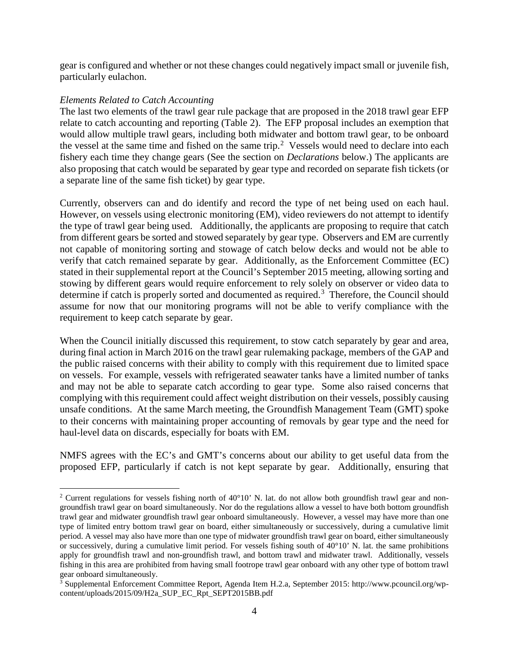gear is configured and whether or not these changes could negatively impact small or juvenile fish, particularly eulachon.

### *Elements Related to Catch Accounting*

The last two elements of the trawl gear rule package that are proposed in the 2018 trawl gear EFP relate to catch accounting and reporting (Table 2). The EFP proposal includes an exemption that would allow multiple trawl gears, including both midwater and bottom trawl gear, to be onboard the vessel at the same time and fished on the same trip.<sup>[2](#page-3-0)</sup> Vessels would need to declare into each fishery each time they change gears (See the section on *Declarations* below.) The applicants are also proposing that catch would be separated by gear type and recorded on separate fish tickets (or a separate line of the same fish ticket) by gear type.

Currently, observers can and do identify and record the type of net being used on each haul. However, on vessels using electronic monitoring (EM), video reviewers do not attempt to identify the type of trawl gear being used. Additionally, the applicants are proposing to require that catch from different gears be sorted and stowed separately by gear type. Observers and EM are currently not capable of monitoring sorting and stowage of catch below decks and would not be able to verify that catch remained separate by gear. Additionally, as the Enforcement Committee (EC) stated in their supplemental report at the Council's September 2015 meeting, allowing sorting and stowing by different gears would require enforcement to rely solely on observer or video data to determine if catch is properly sorted and documented as required.<sup>[3](#page-3-1)</sup> Therefore, the Council should assume for now that our monitoring programs will not be able to verify compliance with the requirement to keep catch separate by gear.

When the Council initially discussed this requirement, to stow catch separately by gear and area, during final action in March 2016 on the trawl gear rulemaking package, members of the GAP and the public raised concerns with their ability to comply with this requirement due to limited space on vessels. For example, vessels with refrigerated seawater tanks have a limited number of tanks and may not be able to separate catch according to gear type. Some also raised concerns that complying with this requirement could affect weight distribution on their vessels, possibly causing unsafe conditions. At the same March meeting, the Groundfish Management Team (GMT) spoke to their concerns with maintaining proper accounting of removals by gear type and the need for haul-level data on discards, especially for boats with EM.

NMFS agrees with the EC's and GMT's concerns about our ability to get useful data from the proposed EFP, particularly if catch is not kept separate by gear. Additionally, ensuring that

<span id="page-3-0"></span><sup>&</sup>lt;sup>2</sup> Current regulations for vessels fishing north of  $40^{\circ}10'$  N. lat. do not allow both groundfish trawl gear and nongroundfish trawl gear on board simultaneously. Nor do the regulations allow a vessel to have both bottom groundfish trawl gear and midwater groundfish trawl gear onboard simultaneously. However, a vessel may have more than one type of limited entry bottom trawl gear on board, either simultaneously or successively, during a cumulative limit period. A vessel may also have more than one type of midwater groundfish trawl gear on board, either simultaneously or successively, during a cumulative limit period. For vessels fishing south of  $40^{\circ}10'$  N. lat. the same prohibitions apply for groundfish trawl and non-groundfish trawl, and bottom trawl and midwater trawl. Additionally, vessels fishing in this area are prohibited from having small footrope trawl gear onboard with any other type of bottom trawl gear onboard simultaneously.

<span id="page-3-1"></span><sup>3</sup> Supplemental Enforcement Committee Report, Agenda Item H.2.a, September 2015: http://www.pcouncil.org/wpcontent/uploads/2015/09/H2a\_SUP\_EC\_Rpt\_SEPT2015BB.pdf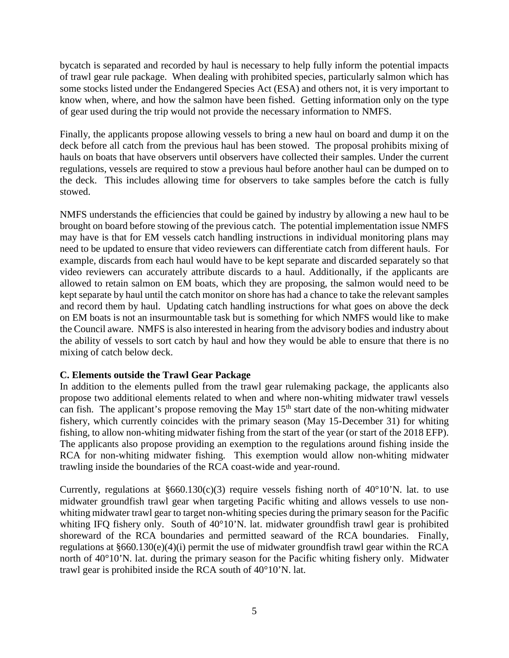bycatch is separated and recorded by haul is necessary to help fully inform the potential impacts of trawl gear rule package. When dealing with prohibited species, particularly salmon which has some stocks listed under the Endangered Species Act (ESA) and others not, it is very important to know when, where, and how the salmon have been fished. Getting information only on the type of gear used during the trip would not provide the necessary information to NMFS.

Finally, the applicants propose allowing vessels to bring a new haul on board and dump it on the deck before all catch from the previous haul has been stowed. The proposal prohibits mixing of hauls on boats that have observers until observers have collected their samples. Under the current regulations, vessels are required to stow a previous haul before another haul can be dumped on to the deck. This includes allowing time for observers to take samples before the catch is fully stowed.

NMFS understands the efficiencies that could be gained by industry by allowing a new haul to be brought on board before stowing of the previous catch. The potential implementation issue NMFS may have is that for EM vessels catch handling instructions in individual monitoring plans may need to be updated to ensure that video reviewers can differentiate catch from different hauls. For example, discards from each haul would have to be kept separate and discarded separately so that video reviewers can accurately attribute discards to a haul. Additionally, if the applicants are allowed to retain salmon on EM boats, which they are proposing, the salmon would need to be kept separate by haul until the catch monitor on shore has had a chance to take the relevant samples and record them by haul. Updating catch handling instructions for what goes on above the deck on EM boats is not an insurmountable task but is something for which NMFS would like to make the Council aware. NMFS is also interested in hearing from the advisory bodies and industry about the ability of vessels to sort catch by haul and how they would be able to ensure that there is no mixing of catch below deck.

# **C. Elements outside the Trawl Gear Package**

In addition to the elements pulled from the trawl gear rulemaking package, the applicants also propose two additional elements related to when and where non-whiting midwater trawl vessels can fish. The applicant's propose removing the May  $15<sup>th</sup>$  start date of the non-whiting midwater fishery, which currently coincides with the primary season (May 15-December 31) for whiting fishing, to allow non-whiting midwater fishing from the start of the year (or start of the 2018 EFP). The applicants also propose providing an exemption to the regulations around fishing inside the RCA for non-whiting midwater fishing. This exemption would allow non-whiting midwater trawling inside the boundaries of the RCA coast-wide and year-round.

Currently, regulations at  $§660.130(c)(3)$  require vessels fishing north of 40°10'N. lat. to use midwater groundfish trawl gear when targeting Pacific whiting and allows vessels to use nonwhiting midwater trawl gear to target non-whiting species during the primary season for the Pacific whiting IFQ fishery only. South of 40°10'N. lat. midwater groundfish trawl gear is prohibited shoreward of the RCA boundaries and permitted seaward of the RCA boundaries. Finally, regulations at §660.130(e)(4)(i) permit the use of midwater groundfish trawl gear within the RCA north of 40°10'N. lat. during the primary season for the Pacific whiting fishery only. Midwater trawl gear is prohibited inside the RCA south of 40°10'N. lat.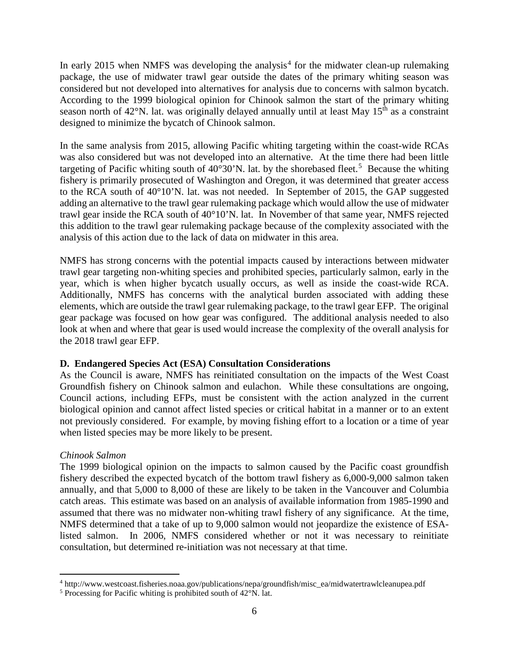In early 2015 when NMFS was developing the analysis<sup>[4](#page-5-0)</sup> for the midwater clean-up rulemaking package, the use of midwater trawl gear outside the dates of the primary whiting season was considered but not developed into alternatives for analysis due to concerns with salmon bycatch. According to the 1999 biological opinion for Chinook salmon the start of the primary whiting season north of 42°N. lat. was originally delayed annually until at least May 15<sup>th</sup> as a constraint designed to minimize the bycatch of Chinook salmon.

In the same analysis from 2015, allowing Pacific whiting targeting within the coast-wide RCAs was also considered but was not developed into an alternative. At the time there had been little targeting of Pacific whiting south of  $40^{\circ}30^{\circ}$ N. lat. by the shorebased fleet.<sup>[5](#page-5-1)</sup> Because the whiting fishery is primarily prosecuted of Washington and Oregon, it was determined that greater access to the RCA south of 40°10'N. lat. was not needed. In September of 2015, the GAP suggested adding an alternative to the trawl gear rulemaking package which would allow the use of midwater trawl gear inside the RCA south of 40°10'N. lat. In November of that same year, NMFS rejected this addition to the trawl gear rulemaking package because of the complexity associated with the analysis of this action due to the lack of data on midwater in this area.

NMFS has strong concerns with the potential impacts caused by interactions between midwater trawl gear targeting non-whiting species and prohibited species, particularly salmon, early in the year, which is when higher bycatch usually occurs, as well as inside the coast-wide RCA. Additionally, NMFS has concerns with the analytical burden associated with adding these elements, which are outside the trawl gear rulemaking package, to the trawl gear EFP. The original gear package was focused on how gear was configured. The additional analysis needed to also look at when and where that gear is used would increase the complexity of the overall analysis for the 2018 trawl gear EFP.

### **D. Endangered Species Act (ESA) Consultation Considerations**

As the Council is aware, NMFS has reinitiated consultation on the impacts of the West Coast Groundfish fishery on Chinook salmon and eulachon. While these consultations are ongoing, Council actions, including EFPs, must be consistent with the action analyzed in the current biological opinion and cannot affect listed species or critical habitat in a manner or to an extent not previously considered. For example, by moving fishing effort to a location or a time of year when listed species may be more likely to be present.

# *Chinook Salmon*

The 1999 biological opinion on the impacts to salmon caused by the Pacific coast groundfish fishery described the expected bycatch of the bottom trawl fishery as 6,000-9,000 salmon taken annually, and that 5,000 to 8,000 of these are likely to be taken in the Vancouver and Columbia catch areas. This estimate was based on an analysis of available information from 1985-1990 and assumed that there was no midwater non-whiting trawl fishery of any significance. At the time, NMFS determined that a take of up to 9,000 salmon would not jeopardize the existence of ESAlisted salmon. In 2006, NMFS considered whether or not it was necessary to reinitiate consultation, but determined re-initiation was not necessary at that time.

<span id="page-5-0"></span> <sup>4</sup> http://www.westcoast.fisheries.noaa.gov/publications/nepa/groundfish/misc\_ea/midwatertrawlcleanupea.pdf

<span id="page-5-1"></span><sup>5</sup> Processing for Pacific whiting is prohibited south of 42°N. lat.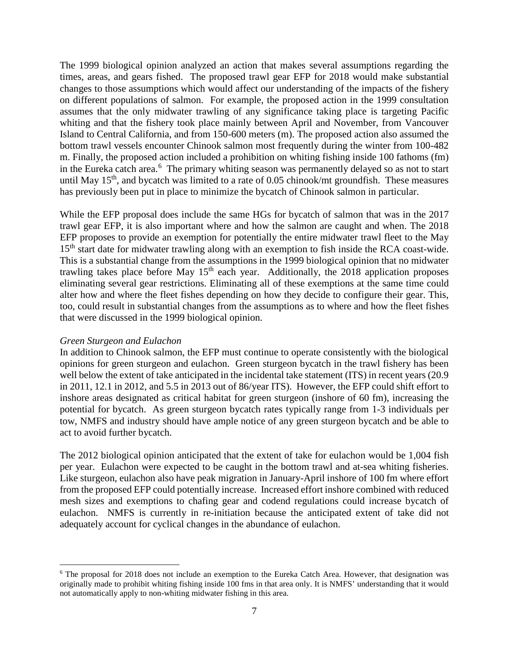The 1999 biological opinion analyzed an action that makes several assumptions regarding the times, areas, and gears fished. The proposed trawl gear EFP for 2018 would make substantial changes to those assumptions which would affect our understanding of the impacts of the fishery on different populations of salmon. For example, the proposed action in the 1999 consultation assumes that the only midwater trawling of any significance taking place is targeting Pacific whiting and that the fishery took place mainly between April and November, from Vancouver Island to Central California, and from 150-600 meters (m). The proposed action also assumed the bottom trawl vessels encounter Chinook salmon most frequently during the winter from 100-482 m. Finally, the proposed action included a prohibition on whiting fishing inside 100 fathoms (fm) in the Eureka catch area.<sup>[6](#page-6-0)</sup> The primary whiting season was permanently delayed so as not to start until May  $15<sup>th</sup>$ , and bycatch was limited to a rate of 0.05 chinook/mt groundfish. These measures has previously been put in place to minimize the bycatch of Chinook salmon in particular.

While the EFP proposal does include the same HGs for bycatch of salmon that was in the 2017 trawl gear EFP, it is also important where and how the salmon are caught and when. The 2018 EFP proposes to provide an exemption for potentially the entire midwater trawl fleet to the May 15<sup>th</sup> start date for midwater trawling along with an exemption to fish inside the RCA coast-wide. This is a substantial change from the assumptions in the 1999 biological opinion that no midwater trawling takes place before May  $15<sup>th</sup>$  each year. Additionally, the 2018 application proposes eliminating several gear restrictions. Eliminating all of these exemptions at the same time could alter how and where the fleet fishes depending on how they decide to configure their gear. This, too, could result in substantial changes from the assumptions as to where and how the fleet fishes that were discussed in the 1999 biological opinion.

### *Green Sturgeon and Eulachon*

In addition to Chinook salmon, the EFP must continue to operate consistently with the biological opinions for green sturgeon and eulachon. Green sturgeon bycatch in the trawl fishery has been well below the extent of take anticipated in the incidental take statement (ITS) in recent years (20.9 in 2011, 12.1 in 2012, and 5.5 in 2013 out of 86/year ITS). However, the EFP could shift effort to inshore areas designated as critical habitat for green sturgeon (inshore of 60 fm), increasing the potential for bycatch. As green sturgeon bycatch rates typically range from 1-3 individuals per tow, NMFS and industry should have ample notice of any green sturgeon bycatch and be able to act to avoid further bycatch.

The 2012 biological opinion anticipated that the extent of take for eulachon would be 1,004 fish per year. Eulachon were expected to be caught in the bottom trawl and at-sea whiting fisheries. Like sturgeon, eulachon also have peak migration in January-April inshore of 100 fm where effort from the proposed EFP could potentially increase. Increased effort inshore combined with reduced mesh sizes and exemptions to chafing gear and codend regulations could increase bycatch of eulachon. NMFS is currently in re-initiation because the anticipated extent of take did not adequately account for cyclical changes in the abundance of eulachon.

<span id="page-6-0"></span> <sup>6</sup> The proposal for 2018 does not include an exemption to the Eureka Catch Area. However, that designation was originally made to prohibit whiting fishing inside 100 fms in that area only. It is NMFS' understanding that it would not automatically apply to non-whiting midwater fishing in this area.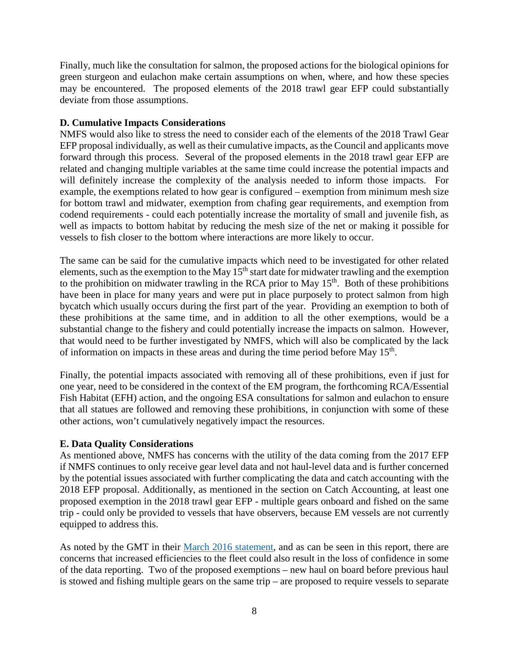Finally, much like the consultation for salmon, the proposed actions for the biological opinions for green sturgeon and eulachon make certain assumptions on when, where, and how these species may be encountered. The proposed elements of the 2018 trawl gear EFP could substantially deviate from those assumptions.

### **D. Cumulative Impacts Considerations**

NMFS would also like to stress the need to consider each of the elements of the 2018 Trawl Gear EFP proposal individually, as well as their cumulative impacts, as the Council and applicants move forward through this process. Several of the proposed elements in the 2018 trawl gear EFP are related and changing multiple variables at the same time could increase the potential impacts and will definitely increase the complexity of the analysis needed to inform those impacts. For example, the exemptions related to how gear is configured – exemption from minimum mesh size for bottom trawl and midwater, exemption from chafing gear requirements, and exemption from codend requirements - could each potentially increase the mortality of small and juvenile fish, as well as impacts to bottom habitat by reducing the mesh size of the net or making it possible for vessels to fish closer to the bottom where interactions are more likely to occur.

The same can be said for the cumulative impacts which need to be investigated for other related elements, such as the exemption to the May  $15<sup>th</sup>$  start date for midwater trawling and the exemption to the prohibition on midwater trawling in the RCA prior to May  $15<sup>th</sup>$ . Both of these prohibitions have been in place for many years and were put in place purposely to protect salmon from high bycatch which usually occurs during the first part of the year. Providing an exemption to both of these prohibitions at the same time, and in addition to all the other exemptions, would be a substantial change to the fishery and could potentially increase the impacts on salmon. However, that would need to be further investigated by NMFS, which will also be complicated by the lack of information on impacts in these areas and during the time period before May  $15<sup>th</sup>$ .

Finally, the potential impacts associated with removing all of these prohibitions, even if just for one year, need to be considered in the context of the EM program, the forthcoming RCA/Essential Fish Habitat (EFH) action, and the ongoing ESA consultations for salmon and eulachon to ensure that all statues are followed and removing these prohibitions, in conjunction with some of these other actions, won't cumulatively negatively impact the resources.

# **E. Data Quality Considerations**

As mentioned above, NMFS has concerns with the utility of the data coming from the 2017 EFP if NMFS continues to only receive gear level data and not haul-level data and is further concerned by the potential issues associated with further complicating the data and catch accounting with the 2018 EFP proposal. Additionally, as mentioned in the section on Catch Accounting, at least one proposed exemption in the 2018 trawl gear EFP - multiple gears onboard and fished on the same trip - could only be provided to vessels that have observers, because EM vessels are not currently equipped to address this.

As noted by the GMT in their [March 2016 statement,](http://www.pcouncil.org/wp-content/uploads/2016/03/G8a_Sup_GMT_Rpt_GearChangesMAR2016BB.pdf) and as can be seen in this report, there are concerns that increased efficiencies to the fleet could also result in the loss of confidence in some of the data reporting. Two of the proposed exemptions – new haul on board before previous haul is stowed and fishing multiple gears on the same trip – are proposed to require vessels to separate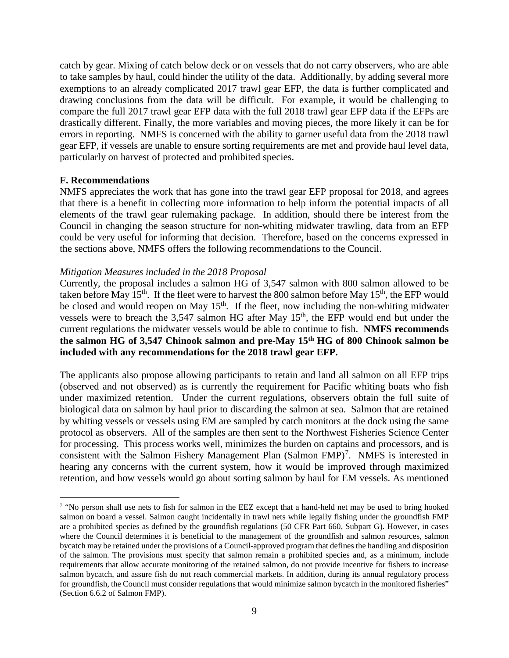catch by gear. Mixing of catch below deck or on vessels that do not carry observers, who are able to take samples by haul, could hinder the utility of the data. Additionally, by adding several more exemptions to an already complicated 2017 trawl gear EFP, the data is further complicated and drawing conclusions from the data will be difficult. For example, it would be challenging to compare the full 2017 trawl gear EFP data with the full 2018 trawl gear EFP data if the EFPs are drastically different. Finally, the more variables and moving pieces, the more likely it can be for errors in reporting. NMFS is concerned with the ability to garner useful data from the 2018 trawl gear EFP, if vessels are unable to ensure sorting requirements are met and provide haul level data, particularly on harvest of protected and prohibited species.

### **F. Recommendations**

NMFS appreciates the work that has gone into the trawl gear EFP proposal for 2018, and agrees that there is a benefit in collecting more information to help inform the potential impacts of all elements of the trawl gear rulemaking package. In addition, should there be interest from the Council in changing the season structure for non-whiting midwater trawling, data from an EFP could be very useful for informing that decision. Therefore, based on the concerns expressed in the sections above, NMFS offers the following recommendations to the Council.

### *Mitigation Measures included in the 2018 Proposal*

Currently, the proposal includes a salmon HG of 3,547 salmon with 800 salmon allowed to be taken before May 15<sup>th</sup>. If the fleet were to harvest the 800 salmon before May 15<sup>th</sup>, the EFP would be closed and would reopen on May  $15<sup>th</sup>$ . If the fleet, now including the non-whiting midwater vessels were to breach the 3,547 salmon HG after May 15<sup>th</sup>, the EFP would end but under the current regulations the midwater vessels would be able to continue to fish. **NMFS recommends the salmon HG of 3,547 Chinook salmon and pre-May 15th HG of 800 Chinook salmon be included with any recommendations for the 2018 trawl gear EFP.** 

The applicants also propose allowing participants to retain and land all salmon on all EFP trips (observed and not observed) as is currently the requirement for Pacific whiting boats who fish under maximized retention. Under the current regulations, observers obtain the full suite of biological data on salmon by haul prior to discarding the salmon at sea. Salmon that are retained by whiting vessels or vessels using EM are sampled by catch monitors at the dock using the same protocol as observers. All of the samples are then sent to the Northwest Fisheries Science Center for processing. This process works well, minimizes the burden on captains and processors, and is consistent with the Salmon Fishery Management Plan  $(Salmon FMP)^7$  $(Salmon FMP)^7$ . NMFS is interested in hearing any concerns with the current system, how it would be improved through maximized retention, and how vessels would go about sorting salmon by haul for EM vessels. As mentioned

<span id="page-8-0"></span><sup>&</sup>lt;sup>7</sup> "No person shall use nets to fish for salmon in the EEZ except that a hand-held net may be used to bring hooked salmon on board a vessel. Salmon caught incidentally in trawl nets while legally fishing under the groundfish FMP are a prohibited species as defined by the groundfish regulations (50 CFR Part 660, Subpart G). However, in cases where the Council determines it is beneficial to the management of the groundfish and salmon resources, salmon bycatch may be retained under the provisions of a Council-approved program that defines the handling and disposition of the salmon. The provisions must specify that salmon remain a prohibited species and, as a minimum, include requirements that allow accurate monitoring of the retained salmon, do not provide incentive for fishers to increase salmon bycatch, and assure fish do not reach commercial markets. In addition, during its annual regulatory process for groundfish, the Council must consider regulations that would minimize salmon bycatch in the monitored fisheries" (Section 6.6.2 of Salmon FMP).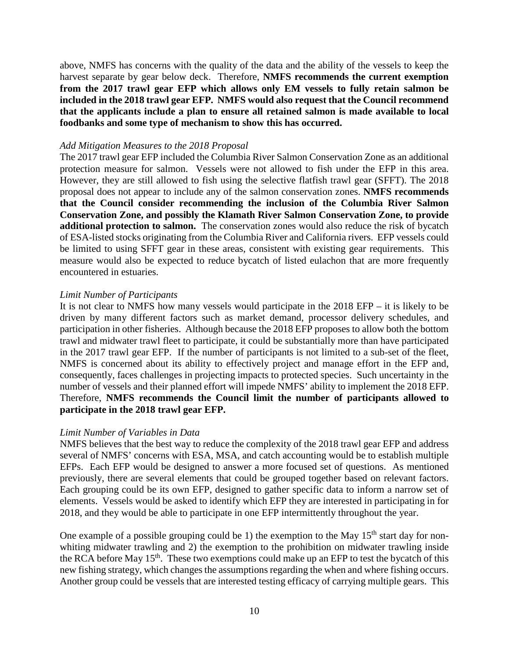above, NMFS has concerns with the quality of the data and the ability of the vessels to keep the harvest separate by gear below deck. Therefore, **NMFS recommends the current exemption from the 2017 trawl gear EFP which allows only EM vessels to fully retain salmon be included in the 2018 trawl gear EFP. NMFS would also request that the Council recommend that the applicants include a plan to ensure all retained salmon is made available to local foodbanks and some type of mechanism to show this has occurred.** 

#### *Add Mitigation Measures to the 2018 Proposal*

The 2017 trawl gear EFP included the Columbia River Salmon Conservation Zone as an additional protection measure for salmon. Vessels were not allowed to fish under the EFP in this area. However, they are still allowed to fish using the selective flatfish trawl gear (SFFT). The 2018 proposal does not appear to include any of the salmon conservation zones. **NMFS recommends that the Council consider recommending the inclusion of the Columbia River Salmon Conservation Zone, and possibly the Klamath River Salmon Conservation Zone, to provide additional protection to salmon.** The conservation zones would also reduce the risk of bycatch of ESA-listed stocks originating from the Columbia River and California rivers. EFP vessels could be limited to using SFFT gear in these areas, consistent with existing gear requirements. This measure would also be expected to reduce bycatch of listed eulachon that are more frequently encountered in estuaries.

#### *Limit Number of Participants*

It is not clear to NMFS how many vessels would participate in the 2018 EFP – it is likely to be driven by many different factors such as market demand, processor delivery schedules, and participation in other fisheries. Although because the 2018 EFP proposes to allow both the bottom trawl and midwater trawl fleet to participate, it could be substantially more than have participated in the 2017 trawl gear EFP. If the number of participants is not limited to a sub-set of the fleet, NMFS is concerned about its ability to effectively project and manage effort in the EFP and, consequently, faces challenges in projecting impacts to protected species. Such uncertainty in the number of vessels and their planned effort will impede NMFS' ability to implement the 2018 EFP. Therefore, **NMFS recommends the Council limit the number of participants allowed to participate in the 2018 trawl gear EFP.**

#### *Limit Number of Variables in Data*

NMFS believes that the best way to reduce the complexity of the 2018 trawl gear EFP and address several of NMFS' concerns with ESA, MSA, and catch accounting would be to establish multiple EFPs. Each EFP would be designed to answer a more focused set of questions. As mentioned previously, there are several elements that could be grouped together based on relevant factors. Each grouping could be its own EFP, designed to gather specific data to inform a narrow set of elements. Vessels would be asked to identify which EFP they are interested in participating in for 2018, and they would be able to participate in one EFP intermittently throughout the year.

One example of a possible grouping could be 1) the exemption to the May  $15<sup>th</sup>$  start day for nonwhiting midwater trawling and 2) the exemption to the prohibition on midwater trawling inside the RCA before May 15<sup>th</sup>. These two exemptions could make up an EFP to test the bycatch of this new fishing strategy, which changes the assumptions regarding the when and where fishing occurs. Another group could be vessels that are interested testing efficacy of carrying multiple gears. This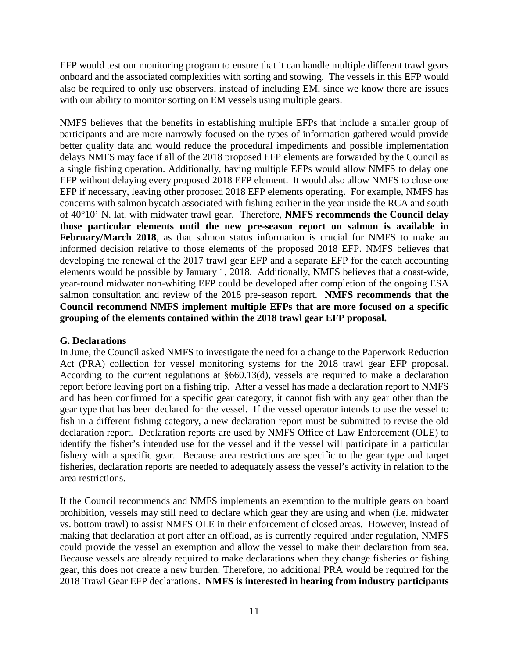EFP would test our monitoring program to ensure that it can handle multiple different trawl gears onboard and the associated complexities with sorting and stowing. The vessels in this EFP would also be required to only use observers, instead of including EM, since we know there are issues with our ability to monitor sorting on EM vessels using multiple gears.

NMFS believes that the benefits in establishing multiple EFPs that include a smaller group of participants and are more narrowly focused on the types of information gathered would provide better quality data and would reduce the procedural impediments and possible implementation delays NMFS may face if all of the 2018 proposed EFP elements are forwarded by the Council as a single fishing operation. Additionally, having multiple EFPs would allow NMFS to delay one EFP without delaying every proposed 2018 EFP element. It would also allow NMFS to close one EFP if necessary, leaving other proposed 2018 EFP elements operating. For example, NMFS has concerns with salmon bycatch associated with fishing earlier in the year inside the RCA and south of 40°10' N. lat. with midwater trawl gear. Therefore, **NMFS recommends the Council delay those particular elements until the new pre-season report on salmon is available in February/March 2018**, as that salmon status information is crucial for NMFS to make an informed decision relative to those elements of the proposed 2018 EFP. NMFS believes that developing the renewal of the 2017 trawl gear EFP and a separate EFP for the catch accounting elements would be possible by January 1, 2018. Additionally, NMFS believes that a coast-wide, year-round midwater non-whiting EFP could be developed after completion of the ongoing ESA salmon consultation and review of the 2018 pre-season report. **NMFS recommends that the Council recommend NMFS implement multiple EFPs that are more focused on a specific grouping of the elements contained within the 2018 trawl gear EFP proposal.** 

### **G. Declarations**

In June, the Council asked NMFS to investigate the need for a change to the Paperwork Reduction Act (PRA) collection for vessel monitoring systems for the 2018 trawl gear EFP proposal. According to the current regulations at §660.13(d), vessels are required to make a declaration report before leaving port on a fishing trip. After a vessel has made a declaration report to NMFS and has been confirmed for a specific gear category, it cannot fish with any gear other than the gear type that has been declared for the vessel. If the vessel operator intends to use the vessel to fish in a different fishing category, a new declaration report must be submitted to revise the old declaration report. Declaration reports are used by NMFS Office of Law Enforcement (OLE) to identify the fisher's intended use for the vessel and if the vessel will participate in a particular fishery with a specific gear. Because area restrictions are specific to the gear type and target fisheries, declaration reports are needed to adequately assess the vessel's activity in relation to the area restrictions.

If the Council recommends and NMFS implements an exemption to the multiple gears on board prohibition, vessels may still need to declare which gear they are using and when (i.e. midwater vs. bottom trawl) to assist NMFS OLE in their enforcement of closed areas. However, instead of making that declaration at port after an offload, as is currently required under regulation, NMFS could provide the vessel an exemption and allow the vessel to make their declaration from sea. Because vessels are already required to make declarations when they change fisheries or fishing gear, this does not create a new burden. Therefore, no additional PRA would be required for the 2018 Trawl Gear EFP declarations. **NMFS is interested in hearing from industry participants**